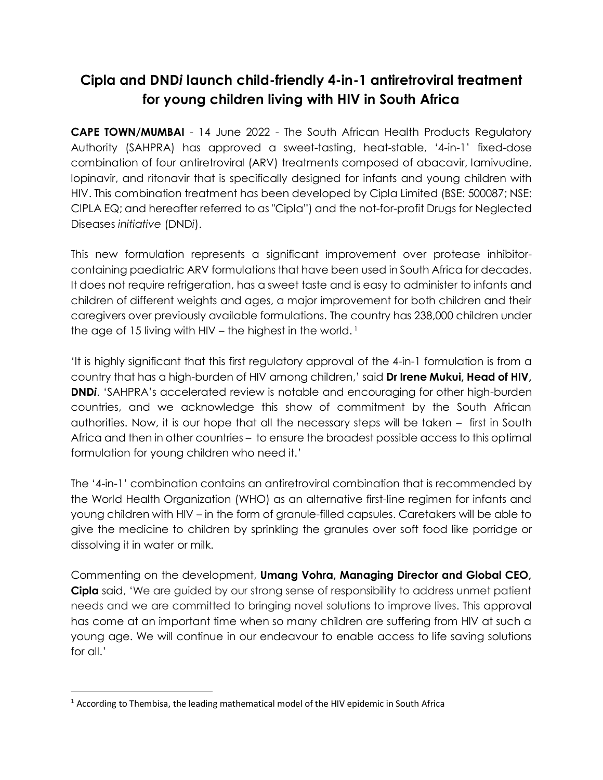# **Cipla and DND***i* **launch child-friendly 4-in-1 antiretroviral treatment for young children living with HIV in South Africa**

**CAPE TOWN/MUMBAI** - 14 June 2022 - The South African Health Products Regulatory Authority (SAHPRA) has approved a sweet-tasting, heat-stable, '4-in-1' fixed-dose combination of four antiretroviral (ARV) treatments composed of abacavir, lamivudine, lopinavir, and ritonavir that is specifically designed for infants and young children with HIV. This combination treatment has been developed by Cipla Limited (BSE: 500087; NSE: CIPLA EQ; and hereafter referred to as "Cipla") and the not-for-profit Drugs for Neglected Diseases *initiative* (DND*i*).

This new formulation represents a significant improvement over protease inhibitorcontaining paediatric ARV formulations that have been used in South Africa for decades. It does not require refrigeration, has a sweet taste and is easy to administer to infants and children of different weights and ages, a major improvement for both children and their caregivers over previously available formulations. The country has 238,000 children under the age of 15 living with HIV – the highest in the world.<sup>1</sup>

'It is highly significant that this first regulatory approval of the 4-in-1 formulation is from a country that has a high-burden of HIV among children,' said **Dr Irene Mukui, Head of HIV, DND***i*. 'SAHPRA's accelerated review is notable and encouraging for other high-burden countries, and we acknowledge this show of commitment by the South African authorities. Now, it is our hope that all the necessary steps will be taken – first in South Africa and then in other countries – to ensure the broadest possible access to this optimal formulation for young children who need it.'

The '4-in-1' combination contains an antiretroviral combination that is recommended by the World Health Organization (WHO) as an alternative first-line regimen for infants and young children with HIV – in the form of granule-filled capsules. Caretakers will be able to give the medicine to children by sprinkling the granules over soft food like porridge or dissolving it in water or milk.

Commenting on the development, **Umang Vohra, Managing Director and Global CEO, Cipla** said, 'We are guided by our strong sense of responsibility to address unmet patient needs and we are committed to bringing novel solutions to improve lives. This approval has come at an important time when so many children are suffering from HIV at such a young age. We will continue in our endeavour to enable access to life saving solutions for all.'

 $\overline{a}$ 

<sup>&</sup>lt;sup>1</sup> According to Thembisa, the leading mathematical model of the HIV epidemic in South Africa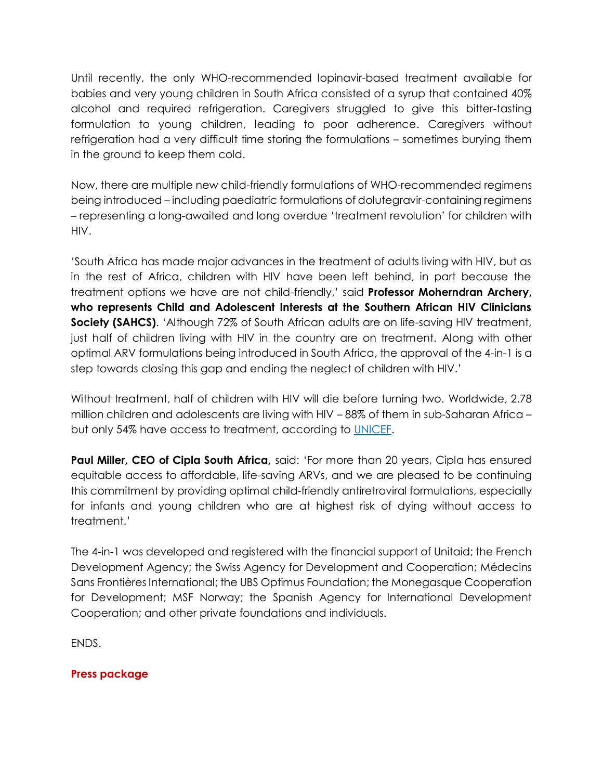Until recently, the only WHO-recommended lopinavir-based treatment available for babies and very young children in South Africa consisted of a syrup that contained 40% alcohol and required refrigeration. Caregivers struggled to give this bitter-tasting formulation to young children, leading to poor adherence. Caregivers without refrigeration had a very difficult time storing the formulations – sometimes burying them in the ground to keep them cold.

Now, there are multiple new child-friendly formulations of WHO-recommended regimens being introduced – including paediatric formulations of dolutegravir-containing regimens – representing a long-awaited and long overdue 'treatment revolution' for children with HIV.

'South Africa has made major advances in the treatment of adults living with HIV, but as in the rest of Africa, children with HIV have been left behind, in part because the treatment options we have are not child-friendly,' said **Professor Moherndran Archery, who represents Child and Adolescent Interests at the Southern African HIV Clinicians Society (SAHCS).** 'Although 72% of South African adults are on life-saving HIV treatment, just half of children living with HIV in the country are on treatment. Along with other optimal ARV formulations being introduced in South Africa, the approval of the 4-in-1 is a step towards closing this gap and ending the neglect of children with HIV.'

Without treatment, half of children with HIV will die before turning two. Worldwide, 2.78 million children and adolescents are living with HIV – 88% of them in sub-Saharan Africa – but only 54% have access to treatment, according to [UNICEF.](https://www.unicef.org/hiv)

**Paul Miller, CEO of Cipla South Africa,** said: 'For more than 20 years, Cipla has ensured equitable access to affordable, life-saving ARVs, and we are pleased to be continuing this commitment by providing optimal child-friendly antiretroviral formulations, especially for infants and young children who are at highest risk of dying without access to treatment.'

The 4-in-1 was developed and registered with the financial support of Unitaid; the French Development Agency; the Swiss Agency for Development and Cooperation; Médecins Sans Frontières International; the UBS Optimus Foundation; the Monegasque Cooperation for Development; MSF Norway; the Spanish Agency for International Development Cooperation; and other private foundations and individuals.

ENDS.

# **Press package**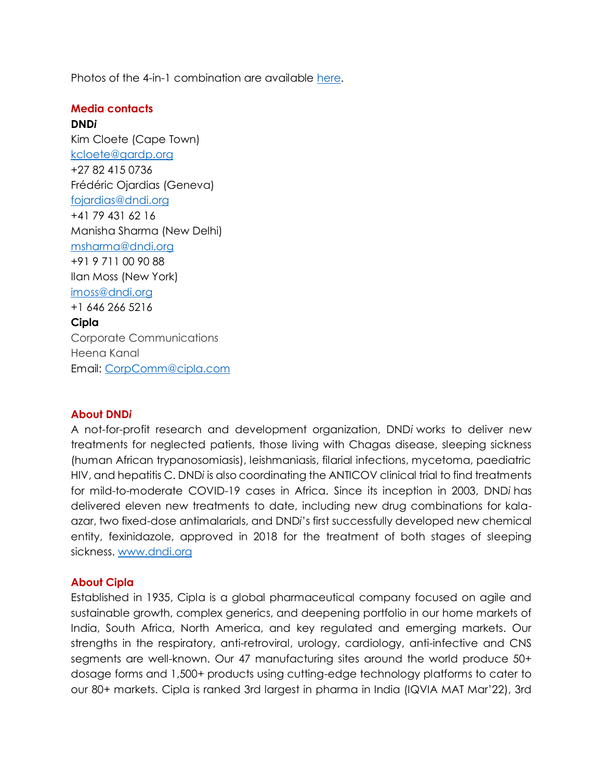Photos of the 4-in-1 combination are available [here.](https://dndi.widencollective.com/c/vlnwwxh6)

## **Media contacts**

**DND***i* Kim Cloete (Cape Town) [kcloete@gardp.org](mailto:kcloete@gardp.org) +27 82 415 0736 Frédéric Ojardias (Geneva) [fojardias@dndi.org](mailto:fojardias@dndi.org) +41 79 431 62 16 Manisha Sharma (New Delhi) [msharma@dndi.org](mailto:msharma@dndi.org) +91 9 711 00 90 88 Ilan Moss (New York) [imoss@dndi.org](mailto:imoss@dndi.org) +1 646 266 5216 **Cipla** Corporate Communications

Email: [CorpComm@cipla.com](file:///C:/Users/ashish.arora1/AppData/Local/Microsoft/Windows/INetCache/Content.Outlook/UER2IAV2/CorpComm@cipla.com)

### **About DND***i*

Heena Kanal

A not-for-profit research and development organization, DND*i* works to deliver new treatments for neglected patients, those living with Chagas disease, sleeping sickness (human African trypanosomiasis), leishmaniasis, filarial infections, mycetoma, paediatric HIV, and hepatitis C. DND*i* is also coordinating the ANTICOV clinical trial to find treatments for mild-to-moderate COVID-19 cases in Africa. Since its inception in 2003, DND*i* has delivered eleven new treatments to date, including new drug combinations for kalaazar, two fixed-dose antimalarials, and DND*i*'s first successfully developed new chemical entity, fexinidazole, approved in 2018 for the treatment of both stages of sleeping sickness. [www.dndi.org](http://www.dndi.org/)

### **About Cipla**

Established in 1935, Cipla is a global pharmaceutical company focused on agile and sustainable growth, complex generics, and deepening portfolio in our home markets of India, South Africa, North America, and key regulated and emerging markets. Our strengths in the respiratory, anti-retroviral, urology, cardiology, anti-infective and CNS segments are well-known. Our 47 manufacturing sites around the world produce 50+ dosage forms and 1,500+ products using cutting-edge technology platforms to cater to our 80+ markets. Cipla is ranked 3rd largest in pharma in India (IQVIA MAT Mar'22), 3rd